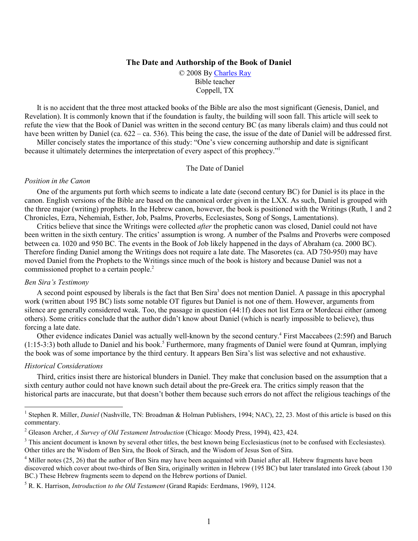# The Date and Authorship of the Book of Daniel

© 2008 By Charles Ray Bible teacher Coppell, TX

It is no accident that the three most attacked books of the Bible are also the most significant (Genesis, Daniel, and Revelation). It is commonly known that if the foundation is faulty, the building will soon fall. This article will seek to refute the view that the Book of Daniel was written in the second century BC (as many liberals claim) and thus could not have been written by Daniel (ca.  $622 - ca. 536$ ). This being the case, the issue of the date of Daniel will be addressed first. Miller concisely states the importance of this study: "One's view concerning authorship and date is significant

because it ultimately determines the interpretation of every aspect of this prophecy."<sup>1</sup>

## The Date of Daniel

## Position in the Canon

One of the arguments put forth which seems to indicate a late date (second century BC) for Daniel is its place in the canon. English versions of the Bible are based on the canonical order given in the LXX. As such, Daniel is grouped with the three major (writing) prophets. In the Hebrew canon, however, the book is positioned with the Writings (Ruth, 1 and 2) Chronicles, Ezra, Nehemiah, Esther, Job, Psalms, Proverbs, Ecclesiastes, Song of Songs, Lamentations).

Critics believe that since the Writings were collected *after* the prophetic canon was closed. Daniel could not have been written in the sixth century. The critics' assumption is wrong. A number of the Psalms and Proverbs were composed between ca. 1020 and 950 BC. The events in the Book of Job likely happened in the days of Abraham (ca. 2000 BC). Therefore finding Daniel among the Writings does not require a late date. The Masoretes (ca. AD 750-950) may have moved Daniel from the Prophets to the Writings since much of the book is history and because Daniel was not a commissioned prophet to a certain people.<sup>2</sup>

## **Ben Sira's Testimony**

A second point espoused by liberals is the fact that Ben Sira<sup>3</sup> does not mention Daniel. A passage in this apocryphal work (written about 195 BC) lists some notable OT figures but Daniel is not one of them. However, arguments from silence are generally considered weak. Too, the passage in question (44:1f) does not list Ezra or Mordecai either (among others). Some critics conclude that the author didn't know about Daniel (which is nearly impossible to believe), thus forcing a late date.

Other evidence indicates Daniel was actually well-known by the second century.<sup>4</sup> First Maccabees (2:59f) and Baruch  $(1:15-3:3)$  both allude to Daniel and his book.<sup>5</sup> Furthermore, many fragments of Daniel were found at Qumran, implying the book was of some importance by the third century. It appears Ben Sira's list was selective and not exhaustive.

## **Historical Considerations**

Third, critics insist there are historical blunders in Daniel. They make that conclusion based on the assumption that a sixth century author could not have known such detail about the pre-Greek era. The critics simply reason that the historical parts are inaccurate, but that doesn't bother them because such errors do not affect the religious teachings of the

<sup>&</sup>lt;sup>1</sup> Stephen R. Miller, *Daniel* (Nashville, TN: Broadman & Holman Publishers, 1994; NAC), 22, 23. Most of this article is based on this commentary.

<sup>&</sup>lt;sup>2</sup> Gleason Archer, A Survey of Old Testament Introduction (Chicago: Moody Press, 1994), 423, 424.

<sup>&</sup>lt;sup>3</sup> This ancient document is known by several other titles, the best known being Ecclesiasticus (not to be confused with Ecclesiastes). Other titles are the Wisdom of Ben Sira, the Book of Sirach, and the Wisdom of Jesus Son of Sira.

 $4$  Miller notes (25, 26) that the author of Ben Sira may have been acquainted with Daniel after all. Hebrew fragments have been discovered which cover about two-thirds of Ben Sira, originally written in Hebrew (195 BC) but later translated into Greek (about 130 BC.) These Hebrew fragments seem to depend on the Hebrew portions of Daniel.

 $5$  R. K. Harrison, *Introduction to the Old Testament* (Grand Rapids: Eerdmans, 1969), 1124.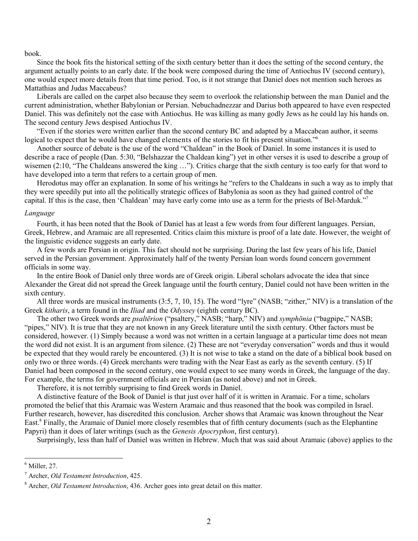### book.

Since the book fits the historical setting of the sixth century better than it does the setting of the second century, the argument actually points to an early date. If the book were composed during the time of Antiochus IV (second century), one would expect more details from that time period. Too, is it not strange that Daniel does not mention such heroes as Mattathias and Judas Maccabeus?

Liberals are called on the carpet also because they seem to overlook the relationship between the man Daniel and the current administration, whether Babylonian or Persian. Nebuchadnezzar and Darius both appeared to have even respected Daniel. This was definitely not the case with Antiochus. He was killing as many godly Jews as he could lay his hands on. The second century Jews despised Antiochus IV.

"Even if the stories were written earlier than the second century BC and adapted by a Maccabean author, it seems logical to expect that he would have changed elements of the stories to fit his present situation."

Another source of debate is the use of the word "Chaldean" in the Book of Daniel. In some instances it is used to describe a race of people (Dan. 5:30, "Belshazzar the Chaldean king") yet in other verses it is used to describe a group of wisemen (2:10, "The Chaldeans answered the king ..."). Critics charge that the sixth century is too early for that word to have developed into a term that refers to a certain group of men.

Herodotus may offer an explanation. In some of his writings he "refers to the Chaldeans in such a way as to imply that they were speedily put into all the politically strategic offices of Babylonia as soon as they had gained control of the capital. If this is the case, then 'Chaldean' may have early come into use as a term for the priests of Bel-Marduk."

### Language

Fourth, it has been noted that the Book of Daniel has at least a few words from four different languages. Persian, Greek, Hebrew, and Aramaic are all represented. Critics claim this mixture is proof of a late date. However, the weight of the linguistic evidence suggests an early date.

A few words are Persian in origin. This fact should not be surprising. During the last few years of his life, Daniel served in the Persian government. Approximately half of the twenty Persian loan words found concern government officials in some way.

In the entire Book of Daniel only three words are of Greek origin. Liberal scholars advocate the idea that since Alexander the Great did not spread the Greek language until the fourth century, Daniel could not have been written in the sixth century.

All three words are musical instruments (3:5, 7, 10, 15). The word "lyre" (NASB; "zither," NIV) is a translation of the Greek kitharis, a term found in the *Iliad* and the Odyssey (eighth century BC).

The other two Greek words are *psalterion* ("psaltery," NASB; "harp," NIV) and *symphonia* ("bagpipe," NASB; "pipes," NIV). It is true that they are not known in any Greek literature until the sixth century. Other factors must be considered, however. (1) Simply because a word was not written in a certain language at a particular time does not mean the word did not exist. It is an argument from silence. (2) These are not "everyday conversation" words and thus it would be expected that they would rarely be encountered. (3) It is not wise to take a stand on the date of a biblical book based on only two or three words. (4) Greek merchants were trading with the Near East as early as the seventh century. (5) If Daniel had been composed in the second century, one would expect to see many words in Greek, the language of the day. For example, the terms for government officials are in Persian (as noted above) and not in Greek.

Therefore, it is not terribly surprising to find Greek words in Daniel.

A distinctive feature of the Book of Daniel is that just over half of it is written in Aramaic. For a time, scholars promoted the belief that this Aramaic was Western Aramaic and thus reasoned that the book was compiled in Israel. Further research, however, has discredited this conclusion. Archer shows that Aramaic was known throughout the Near East.<sup>8</sup> Finally, the Aramaic of Daniel more closely resembles that of fifth century documents (such as the Elephantine Papyri) than it does of later writings (such as the *Genesis Apocryphon*, first century).

Surprisingly, less than half of Daniel was written in Hebrew. Much that was said about Aramaic (above) applies to the

 $<sup>6</sup>$  Miller, 27.</sup>

 $^7$  Archer. *Old Testament Introduction*, 425.

 $8$  Archer, *Old Testament Introduction*, 436. Archer goes into great detail on this matter.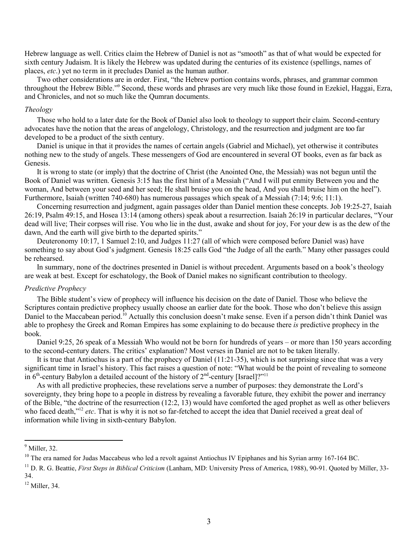Hebrew language as well. Critics claim the Hebrew of Daniel is not as "smooth" as that of what would be expected for sixth century Judaism. It is likely the Hebrew was updated during the centuries of its existence (spellings, names of places, etc.) yet no term in it precludes Daniel as the human author.

Two other considerations are in order. First, "the Hebrew portion contains words, phrases, and grammar common throughout the Hebrew Bible."<sup>9</sup> Second, these words and phrases are very much like those found in Ezekiel, Haggai, Ezra, and Chronicles, and not so much like the Qumran documents.

#### Theology

Those who hold to a later date for the Book of Daniel also look to theology to support their claim. Second-century advocates have the notion that the areas of angelology, Christology, and the resurrection and judgment are too far developed to be a product of the sixth century.

Daniel is unique in that it provides the names of certain angels (Gabriel and Michael), yet otherwise it contributes nothing new to the study of angels. These messengers of God are encountered in several OT books, even as far back as Genesis.

It is wrong to state (or imply) that the doctrine of Christ (the Anointed One, the Messiah) was not begun until the Book of Daniel was written. Genesis 3:15 has the first hint of a Messiah ("And I will put enmity Between you and the woman, And between your seed and her seed; He shall bruise you on the head, And you shall bruise him on the heel"). Furthermore, Isaiah (written 740-680) has numerous passages which speak of a Messiah (7:14; 9:6; 11:1).

Concerning resurrection and judgment, again passages older than Daniel mention these concepts. Job 19:25-27, Isaiah 26:19, Psalm 49:15, and Hosea 13:14 (among others) speak about a resurrection. Isaiah 26:19 in particular declares, "Your dead will live; Their corpses will rise. You who lie in the dust, awake and shout for joy, For your dew is as the dew of the dawn, And the earth will give birth to the departed spirits."

Deuteronomy 10:17, 1 Samuel 2:10, and Judges 11:27 (all of which were composed before Daniel was) have something to say about God's judgment. Genesis 18:25 calls God "the Judge of all the earth." Many other passages could be rehearsed.

In summary, none of the doctrines presented in Daniel is without precedent. Arguments based on a book's theology are weak at best. Except for eschatology, the Book of Daniel makes no significant contribution to theology.

## Predictive Prophecy

The Bible student's view of prophecy will influence his decision on the date of Daniel. Those who believe the Scriptures contain predictive prophecy usually choose an earlier date for the book. Those who don't believe this assign Daniel to the Maccabean period.<sup>10</sup> Actually this conclusion doesn't make sense. Even if a person didn't think Daniel was able to prophesy the Greek and Roman Empires has some explaining to do because there is predictive prophecy in the book.

Daniel 9:25, 26 speak of a Messiah Who would not be born for hundreds of years – or more than 150 years according to the second-century daters. The critics' explanation? Most verses in Daniel are not to be taken literally.

It is true that Antiochus is a part of the prophecy of Daniel  $(11:21-35)$ , which is not surprising since that was a very significant time in Israel's history. This fact raises a question of note: "What would be the point of revealing to someone in  $6<sup>th</sup>$ -century Babylon a detailed account of the history of  $2<sup>nd</sup>$ -century [Israel]?"<sup>11</sup>

As with all predictive prophecies, these revelations serve a number of purposes: they demonstrate the Lord's sovereignty, they bring hope to a people in distress by revealing a favorable future, they exhibit the power and inerrancy of the Bible, "the doctrine of the resurrection  $(12.2, 13)$  would have comforted the aged prophet as well as other believers who faced death,"<sup>12</sup> etc. That is why it is not so far-fetched to accept the idea that Daniel received a great deal of information while living in sixth-century Babylon.

 $9$  Miller, 32.

<sup>&</sup>lt;sup>10</sup> The era named for Judas Maccabeus who led a revolt against Antiochus IV Epiphanes and his Syrian army 167-164 BC.

<sup>&</sup>lt;sup>11</sup> D. R. G. Beattie, *First Steps in Biblical Criticism* (Lanham, MD: University Press of America, 1988), 90-91. Quoted by Miller, 33-34.

 $12$  Miller, 34.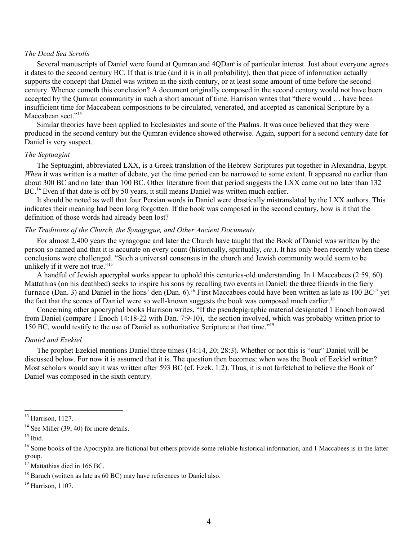# The Dead Sea Scrolls

Several manuscripts of Daniel were found at Qumran and 4QDan<sup>e</sup> is of particular interest. Just about everyone agrees it dates to the second century BC. If that is true (and it is in all probability), then that piece of information actually supports the concept that Daniel was written in the sixth century, or at least some amount of time before the second century. Whence cometh this conclusion? A document originally composed in the second century would not have been accepted by the Oumran community in such a short amount of time. Harrison writes that "there would ... have been insufficient time for Maccabean compositions to be circulated, venerated, and accepted as canonical Scripture by a Maccabean sect $^{2.13}$ 

Similar theories have been applied to Ecclesiastes and some of the Psalms. It was once believed that they were produced in the second century but the Oumran evidence showed otherwise. Again, support for a second century date for Daniel is very suspect.

### The Septuagint

The Septuagint, abbreviated LXX, is a Greek translation of the Hebrew Scriptures put together in Alexandria, Egypt. When it was written is a matter of debate, yet the time period can be narrowed to some extent. It appeared no earlier than about 300 BC and no later than 100 BC. Other literature from that period suggests the LXX came out no later than 132 BC.<sup>14</sup> Even if that date is off by 50 years, it still means Daniel was written much earlier.

It should be noted as well that four Persian words in Daniel were drastically mistranslated by the LXX authors. This indicates their meaning had been long forgotten. If the book was composed in the second century, how is it that the definition of those words had already been lost?

# The Traditions of the Church, the Synagogue, and Other Ancient Documents

For almost 2,400 years the synagogue and later the Church have taught that the Book of Daniel was written by the person so named and that it is accurate on every count (historically, spiritually, *etc.*). It has only been recently when these conclusions were challenged. "Such a universal consensus in the church and Jewish community would seem to be unlikely if it were not true."<sup>15</sup>

A handful of Jewish apocryphal works appear to uphold this centuries-old understanding. In 1 Maccabees (2:59, 60) Mattathias (on his deathbed) seeks to inspire his sons by recalling two events in Daniel: the three friends in the fiery furnace (Dan. 3) and Daniel in the lions<sup>3</sup> den (Dan. 6).<sup>16</sup> First Maccabees could have been written as late as 100 BC<sup>17</sup> yet the fact that the scenes of Daniel were so well-known suggests the book was composed much earlier.<sup>18</sup>

Concerning other apocryphal books Harrison writes, "If the pseudepigraphic material designated 1 Enoch borrowed from Daniel (compare 1 Enoch 14:18-22 with Dan. 7:9-10), the section involved, which was probably written prior to 150 BC, would testify to the use of Daniel as authoritative Scripture at that time."<sup>19</sup>

## Daniel and Ezekiel

The prophet Ezekiel mentions Daniel three times (14:14, 20; 28:3). Whether or not this is "our" Daniel will be discussed below. For now it is assumed that it is. The question then becomes: when was the Book of Ezekiel written? Most scholars would say it was written after 593 BC (cf. Ezek. 1:2). Thus, it is not farfetched to believe the Book of Daniel was composed in the sixth century.

 $13$  Harrison, 1127.

 $14$  See Miller (39, 40) for more details.

 $15$  Ibid.

<sup>&</sup>lt;sup>16</sup> Some books of the Apocrypha are fictional but others provide some reliable historical information, and 1 Maccabees is in the latter group.

<sup>&</sup>lt;sup>17</sup> Mattathias died in 166 BC.

 $^{18}$  Baruch (written as late as 60 BC) may have references to Daniel also.

 $19$  Harrison, 1107.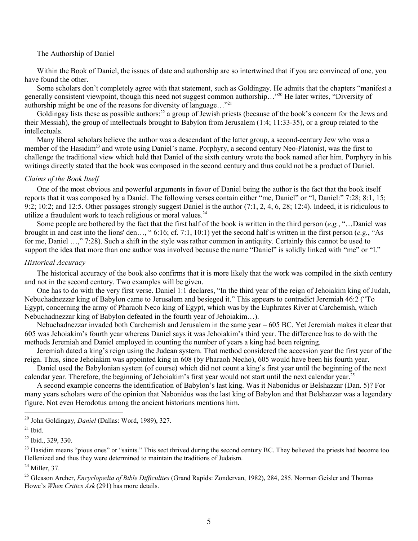# The Authorship of Daniel

Within the Book of Daniel, the issues of date and authorship are so intertwined that if you are convinced of one, you have found the other.

Some scholars don't completely agree with that statement, such as Goldingay. He admits that the chapters "manifest a generally consistent viewpoint, though this need not suggest common authorship..."<sup>20</sup> He later writes, "Diversity of authorship might be one of the reasons for diversity of language..."<sup>21</sup>

Goldingay lists these as possible authors.<sup>22</sup> a group of Jewish priests (because of the book's concern for the Jews and their Messiah), the group of intellectuals brought to Babylon from Jerusalem (1:4; 11:33-35), or a group related to the intellectuals.

Many liberal scholars believe the author was a descendant of the latter group, a second-century Jew who was a member of the Hasidim<sup>23</sup> and wrote using Daniel's name. Porphyry, a second century Neo-Platonist, was the first to challenge the traditional view which held that Daniel of the sixth century wrote the book named after him. Porphyry in his writings directly stated that the book was composed in the second century and thus could not be a product of Daniel.

# Claims of the Book Itself

One of the most obvious and powerful arguments in favor of Daniel being the author is the fact that the book itself reports that it was composed by a Daniel. The following verses contain either "me, Daniel" or "I, Daniel:" 7:28; 8:1, 15; 9:2; 10:2; and 12:5. Other passages strongly suggest Daniel is the author  $(7.1, 2, 4, 6, 28, 12.4)$ . Indeed, it is ridiculous to utilize a fraudulent work to teach religious or moral values.<sup>24</sup>

Some people are bothered by the fact that the first half of the book is written in the third person  $(e.g., ..., Daniel$  was brought in and cast into the lions' den..., "6:16; cf. 7:1, 10:1) yet the second half is written in the first person (e.g., "As for me, Daniel ...," 7:28). Such a shift in the style was rather common in antiquity. Certainly this cannot be used to support the idea that more than one author was involved because the name "Daniel" is solidly linked with "me" or "I."

## Historical Accuracy

The historical accuracy of the book also confirms that it is more likely that the work was compiled in the sixth century and not in the second century. Two examples will be given.

One has to do with the very first verse. Daniel 1:1 declares, "In the third year of the reign of Jehojakim king of Judah. Nebuchadnezzar king of Babylon came to Jerusalem and besieged it." This appears to contradict Jeremiah 46:2 ("To Egypt, concerning the army of Pharaoh Neco king of Egypt, which was by the Euphrates River at Carchemish, which Nebuchadnezzar king of Babylon defeated in the fourth year of Jehoiakim...).

Nebuchadnezzar invaded both Carchemish and Jerusalem in the same year – 605 BC. Yet Jeremiah makes it clear that 605 was Jehojakim's fourth year whereas Daniel says it was Jehojakim's third year. The difference has to do with the methods Jeremiah and Daniel employed in counting the number of years a king had been reigning.

Jeremiah dated a king's reign using the Judean system. That method considered the accession year the first year of the reign. Thus, since Jehoiakim was appointed king in 608 (by Pharaoh Necho), 605 would have been his fourth year.

Daniel used the Babylonian system (of course) which did not count a king's first year until the beginning of the next calendar year. Therefore, the beginning of Jehoiakim's first year would not start until the next calendar year.<sup>25</sup>

A second example concerns the identification of Babylon's last king. Was it Nabonidus or Belshazzar (Dan. 5)? For many years scholars were of the opinion that Nabonidus was the last king of Babylon and that Belshazzar was a legendary figure. Not even Herodotus among the ancient historians mentions him.

<sup>&</sup>lt;sup>20</sup> John Goldingay, *Daniel* (Dallas: Word. 1989). 327.

 $21$  Ibid.

<sup>&</sup>lt;sup>22</sup> Ibid., 329, 330.

<sup>&</sup>lt;sup>23</sup> Hasidim means "pious ones" or "saints." This sect thrived during the second century BC. They believed the priests had become too Hellenized and thus they were determined to maintain the traditions of Judaism.

 $24$  Miller, 37.

<sup>&</sup>lt;sup>25</sup> Gleason Archer, *Encyclopedia of Bible Difficulties* (Grand Rapids: Zondervan, 1982), 284, 285. Norman Geisler and Thomas Howe's When Critics Ask (291) has more details.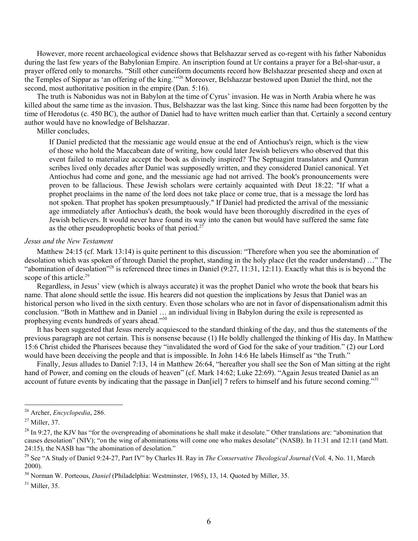However, more recent archaeological evidence shows that Belshazzar served as co-regent with his father Nabonidus during the last few years of the Babylonian Empire. An inscription found at Ur contains a prayer for a Bel-shar-usur, a prayer offered only to monarchs. "Still other cuneiform documents record how Belshazzar presented sheep and oxen at the Temples of Sippar as 'an offering of the king."<sup>26</sup> Moreover, Belshazzar bestowed upon Daniel the third, not the second, most authoritative position in the empire (Dan. 5:16).

The truth is Nabonidus was not in Babylon at the time of Cyrus' invasion. He was in North Arabia where he was killed about the same time as the invasion. Thus, Belshazzar was the last king. Since this name had been forgotten by the time of Herodotus (c. 450 BC), the author of Daniel had to have written much earlier than that. Certainly a second century author would have no knowledge of Belshazzar.

Miller concludes,

If Daniel predicted that the messianic age would ensue at the end of Antiochus's reign, which is the view of those who hold the Maccabean date of writing, how could later Jewish believers who observed that this event failed to materialize accept the book as divinely inspired? The Septuagint translators and Qumran scribes lived only decades after Daniel was supposedly written, and they considered Daniel canonical. Yet Antiochus had come and gone, and the messianic age had not arrived. The book's pronouncements were proven to be fallacious. These Jewish scholars were certainly acquainted with Deut 18:22: "If what a prophet proclaims in the name of the lord does not take place or come true, that is a message the lord has not spoken. That prophet has spoken presumptuously." If Daniel had predicted the arrival of the messianic age immediately after Antiochus's death, the book would have been thoroughly discredited in the eyes of Jewish believers. It would never have found its way into the canon but would have suffered the same fate as the other pseudoprophetic books of that period.<sup>27</sup>

# Jesus and the New Testament

Matthew 24:15 (cf. Mark 13:14) is quite pertinent to this discussion: "Therefore when you see the abomination of desolation which was spoken of through Daniel the prophet, standing in the holy place (let the reader understand) ..." The "abomination of desolation"<sup>28</sup> is referenced three times in Daniel  $(9:27, 11:31, 12:11)$ . Exactly what this is is beyond the scope of this article.<sup>29</sup>

Regardless, in Jesus' view (which is always accurate) it was the prophet Daniel who wrote the book that bears his name. That alone should settle the issue. His hearers did not question the implications by Jesus that Daniel was an historical person who lived in the sixth century. Even those scholars who are not in favor of dispensationalism admit this conclusion. "Both in Matthew and in Daniel ... an individual living in Babylon during the exile is represented as prophesying events hundreds of years ahead."30

It has been suggested that Jesus merely acquiesced to the standard thinking of the day, and thus the statements of the previous paragraph are not certain. This is nonsense because (1) He boldly challenged the thinking of His day. In Matthew 15:6 Christ chided the Pharisees because they "invalidated the word of God for the sake of your tradition." (2) our Lord would have been deceiving the people and that is impossible. In John 14:6 He labels Himself as "the Truth."

Finally, Jesus alludes to Daniel 7:13, 14 in Matthew 26:64, "hereafter you shall see the Son of Man sitting at the right hand of Power, and coming on the clouds of heaven" (cf. Mark 14:62; Luke 22:69). "Again Jesus treated Daniel as an account of future events by indicating that the passage in Dan[iel] 7 refers to himself and his future second coming."<sup>31</sup>

<sup>&</sup>lt;sup>26</sup> Archer, *Encyclopedia*, 286.

 $27$  Miller, 37.

 $^{28}$  In 9:27, the KJV has "for the overspreading of abominations he shall make it desolate." Other translations are: "abomination that causes desolation" (NIV); "on the wing of abominations will come one who makes desolate" (NASB). In 11:31 and 12:11 (and Matt. 24:15), the NASB has "the abomination of desolation."

<sup>&</sup>lt;sup>29</sup> See "A Study of Daniel 9:24-27, Part IV" by Charles H. Ray in *The Conservative Theological Journal* (Vol. 4, No. 11, March  $2000$ ).

<sup>&</sup>lt;sup>30</sup> Norman W. Porteous. *Daniel* (Philadelphia: Westminster, 1965), 13, 14. Quoted by Miller, 35.

 $31$  Miller, 35.